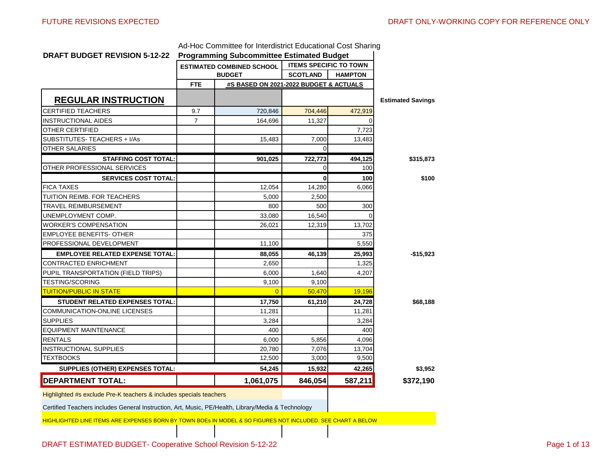| <b>DRAFT BUDGET REVISION 5-12-22</b>   |                | Ad-Hoc Committee for Interdistrict Educational Cost Sharing<br><b>Programming Subcommittee Estimated Budget</b> |                               |                |                          |
|----------------------------------------|----------------|-----------------------------------------------------------------------------------------------------------------|-------------------------------|----------------|--------------------------|
|                                        |                | <b>ESTIMATED COMBINED SCHOOL</b>                                                                                | <b>ITEMS SPECIFIC TO TOWN</b> |                |                          |
|                                        |                | <b>BUDGET</b>                                                                                                   | <b>SCOTLAND</b>               | <b>HAMPTON</b> |                          |
|                                        | <b>FTE</b>     | #S BASED ON 2021-2022 BUDGET & ACTUALS                                                                          |                               |                |                          |
| <b>REGULAR INSTRUCTION</b>             |                |                                                                                                                 |                               |                | <b>Estimated Savings</b> |
| <b>CERTIFIED TEACHERS</b>              | 9.7            | 720,846                                                                                                         | 704,446                       | 472,919        |                          |
| <b>INSTRUCTIONAL AIDES</b>             | $\overline{7}$ | 164,696                                                                                                         | 11,327                        |                |                          |
| <b>OTHER CERTIFIED</b>                 |                |                                                                                                                 |                               | 7,723          |                          |
| SUBSTITUTES-TEACHERS + I/As            |                | 15,483                                                                                                          | 7,000                         | 13,483         |                          |
| <b>OTHER SALARIES</b>                  |                |                                                                                                                 | $\Omega$                      |                |                          |
| <b>STAFFING COST TOTAL:</b>            |                | 901,025                                                                                                         | 722,773                       | 494,125        | \$315,873                |
| OTHER PROFESSIONAL SERVICES            |                |                                                                                                                 | $\Omega$                      | 100            |                          |
| <b>SERVICES COST TOTAL:</b>            |                |                                                                                                                 | $\bf{0}$                      | 100            | \$100                    |
| <b>FICA TAXES</b>                      |                | 12,054                                                                                                          | 14,280                        | 6.066          |                          |
| TUITION REIMB. FOR TEACHERS            |                | 5,000                                                                                                           | 2,500                         |                |                          |
| TRAVEL REIMBURSEMENT                   |                | 800                                                                                                             | 500                           | 300            |                          |
| UNEMPLOYMENT COMP.                     |                | 33,080                                                                                                          | 16,540                        | 0              |                          |
| WORKER'S COMPENSATION                  |                | 26,021                                                                                                          | 12,319                        | 13,702         |                          |
| <b>EMPLOYEE BENEFITS- OTHER</b>        |                |                                                                                                                 |                               | 375            |                          |
| PROFESSIONAL DEVELOPMENT               |                | 11,100                                                                                                          |                               | 5,550          |                          |
| <b>EMPLOYEE RELATED EXPENSE TOTAL:</b> |                | 88,055                                                                                                          | 46,139                        | 25,993         | -\$15,923                |
| <b>CONTRACTED ENRICHMENT</b>           |                | 2,650                                                                                                           |                               | 1,325          |                          |
| PUPIL TRANSPORTATION (FIELD TRIPS)     |                | 6,000                                                                                                           | 1,640                         | 4,207          |                          |
| <b>TESTING/SCORING</b>                 |                | 9,100                                                                                                           | 9,100                         |                |                          |
| <b>TUITION/PUBLIC IN STATE</b>         |                | $\Omega$                                                                                                        | 50.470                        | 19,196         |                          |
| <b>STUDENT RELATED EXPENSES TOTAL:</b> |                | 17,750                                                                                                          | 61,210                        | 24,728         | \$68,188                 |
| <b>COMMUNICATION-ONLINE LICENSES</b>   |                | 11,281                                                                                                          |                               | 11,281         |                          |
| <b>SUPPLIES</b>                        |                | 3,284                                                                                                           |                               | 3,284          |                          |
| <b>EQUIPMENT MAINTENANCE</b>           |                | 400                                                                                                             |                               | 400            |                          |
| <b>RENTALS</b>                         |                | 6,000                                                                                                           | 5,856                         | 4,096          |                          |
| <b>INSTRUCTIONAL SUPPLIES</b>          |                | 20.780                                                                                                          | 7,076                         | 13,704         |                          |
| <b>TEXTBOOKS</b>                       |                | 12,500                                                                                                          | 3,000                         | 9,500          |                          |
| SUPPLIES (OTHER) EXPENSES TOTAL:       |                | 54,245                                                                                                          | 15,932                        | 42,265         | \$3,952                  |
| <b>DEPARTMENT TOTAL:</b>               |                | 1,061,075                                                                                                       | 846,054                       | 587,211        | \$372,190                |
|                                        |                |                                                                                                                 |                               |                |                          |

Ad-Hoe Committee for Interdictrict Educational Cost Sh

Highlighted #s exclude Pre-K teachers & includes specials teachers

Certified Teachers includes General Instruction, Art, Music, PE/Health, Library/Media & Technology

HIGHLIGHTED LINE ITEMS ARE EXPENSES BORN BY TOWN BOEs IN MODEL & SO FIGURES NOT INCLUDED. SEE CHART A BELOW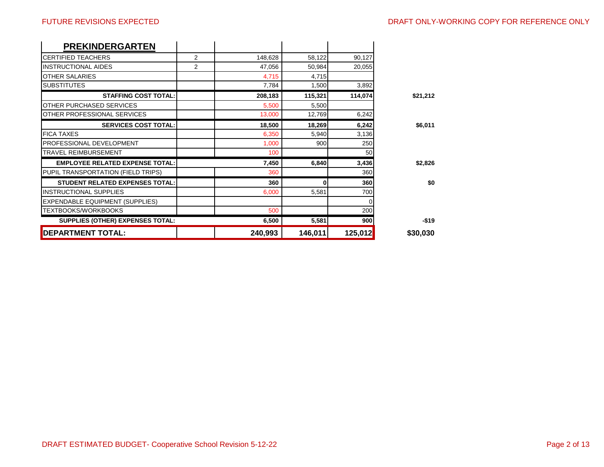| <b>PREKINDERGARTEN</b>                  |   |         |          |         |          |
|-----------------------------------------|---|---------|----------|---------|----------|
| <b>CERTIFIED TEACHERS</b>               | 2 | 148,628 | 58,122   | 90,127  |          |
| <b>INSTRUCTIONAL AIDES</b>              | 2 | 47,056  | 50,984   | 20,055  |          |
| <b>OTHER SALARIES</b>                   |   | 4,715   | 4,715    |         |          |
| <b>SUBSTITUTES</b>                      |   | 7,784   | 1,500    | 3,892   |          |
| <b>STAFFING COST TOTAL:</b>             |   | 208,183 | 115,321  | 114,074 | \$21,212 |
| <b>OTHER PURCHASED SERVICES</b>         |   | 5,500   | 5,500    |         |          |
| OTHER PROFESSIONAL SERVICES             |   | 13,000  | 12,769   | 6,242   |          |
| <b>SERVICES COST TOTAL:</b>             |   | 18,500  | 18,269   | 6,242   | \$6,011  |
| <b>FICA TAXES</b>                       |   | 6,350   | 5,940    | 3,136   |          |
| <b>PROFESSIONAL DEVELOPMENT</b>         |   | 1,000   | 900      | 250     |          |
| <b>TRAVEL REIMBURSEMENT</b>             |   | 100     |          | 50      |          |
| <b>EMPLOYEE RELATED EXPENSE TOTAL:</b>  |   | 7,450   | 6,840    | 3,436   | \$2,826  |
| PUPIL TRANSPORTATION (FIELD TRIPS)      |   | 360     |          | 360     |          |
| <b>STUDENT RELATED EXPENSES TOTAL:</b>  |   | 360     | $\bf{0}$ | 360     | \$0      |
| <b>INSTRUCTIONAL SUPPLIES</b>           |   | 6.000   | 5,581    | 700     |          |
| <b>EXPENDABLE EQUIPMENT (SUPPLIES)</b>  |   |         |          |         |          |
| <b>TEXTBOOKS/WORKBOOKS</b>              |   | 500     |          | 200     |          |
| <b>SUPPLIES (OTHER) EXPENSES TOTAL:</b> |   | 6,500   | 5,581    | 900     | $-$19$   |
| <b>DEPARTMENT TOTAL:</b>                |   | 240,993 | 146,011  | 125,012 | \$30,030 |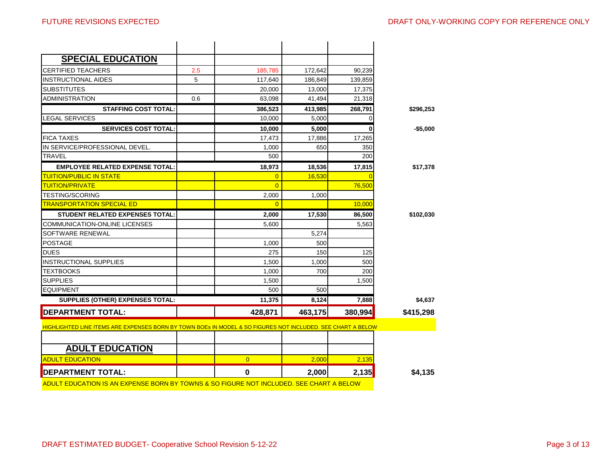| <b>DEPARTMENT TOTAL:</b>                                                                                    |     | $\mathbf 0$                | 2,000   | 2,135    | \$4,135   |
|-------------------------------------------------------------------------------------------------------------|-----|----------------------------|---------|----------|-----------|
| <b>ADULT EDUCATION</b>                                                                                      |     | $\overline{0}$             | 2,000   | 2,135    |           |
| <b>ADULT EDUCATION</b>                                                                                      |     |                            |         |          |           |
|                                                                                                             |     |                            |         |          |           |
| HIGHLIGHTED LINE ITEMS ARE EXPENSES BORN BY TOWN BOES IN MODEL & SO FIGURES NOT INCLUDED. SEE CHART A BELOW |     |                            |         |          |           |
| <b>DEPARTMENT TOTAL:</b>                                                                                    |     | 428,871                    | 463,175 | 380,994  | \$415,298 |
| SUPPLIES (OTHER) EXPENSES TOTAL:                                                                            |     | 11,375                     | 8,124   | 7,888    | \$4,637   |
| <b>EQUIPMENT</b>                                                                                            |     | 500                        | 500     |          |           |
| <b>SUPPLIES</b>                                                                                             |     | 1,500                      |         | 1,500    |           |
| <b>TEXTBOOKS</b>                                                                                            |     | 1,000                      | 700     | 200      |           |
| <b>INSTRUCTIONAL SUPPLIES</b>                                                                               |     | 1,500                      | 1.000   | 500      |           |
| <b>DUES</b>                                                                                                 |     | 275                        | 150     | 125      |           |
| <b>POSTAGE</b>                                                                                              |     | 1.000                      | 500     |          |           |
| SOFTWARE RENEWAL                                                                                            |     |                            | 5,274   |          |           |
| COMMUNICATION-ONLINE LICENSES                                                                               |     | 5,600                      |         | 5,563    |           |
| <b>STUDENT RELATED EXPENSES TOTAL:</b>                                                                      |     | 2,000                      | 17,530  | 86,500   | \$102,030 |
| <b>TRANSPORTATION SPECIAL ED</b>                                                                            |     | $\overline{0}$             |         | 10,000   |           |
| <b>TESTING/SCORING</b>                                                                                      |     | 2,000                      | 1,000   |          |           |
| <b>TUITION/PUBLIC IN STATE</b><br><b>TUITION/PRIVATE</b>                                                    |     | $\overline{0}$<br>$\Omega$ | 16,530  | 76,500   |           |
| <b>EMPLOYEE RELATED EXPENSE TOTAL:</b>                                                                      |     | 18,973                     | 18,536  | 17,815   | \$17,378  |
| <b>TRAVEL</b>                                                                                               |     | 500                        |         | 200      |           |
| IN SERVICE/PROFESSIONAL DEVEL.                                                                              |     | 1,000                      | 650     | 350      |           |
| <b>FICA TAXES</b>                                                                                           |     | 17,473                     | 17,886  | 17,265   |           |
| <b>SERVICES COST TOTAL:</b>                                                                                 |     | 10,000                     | 5,000   | 0        | -\$5,000  |
| <b>LEGAL SERVICES</b>                                                                                       |     | 10,000                     | 5.000   | $\Omega$ |           |
| <b>STAFFING COST TOTAL:</b>                                                                                 |     | 386,523                    | 413,985 | 268,791  | \$296,253 |
| <b>ADMINISTRATION</b>                                                                                       | 0.6 | 63,098                     | 41,494  | 21,318   |           |
| <b>SUBSTITUTES</b>                                                                                          |     | 20,000                     | 13,000  | 17,375   |           |
| <b>INSTRUCTIONAL AIDES</b>                                                                                  | 5   | 117,640                    | 186,849 | 139,859  |           |
|                                                                                                             |     |                            |         |          |           |
|                                                                                                             |     |                            |         |          |           |
| <b>SPECIAL EDUCATION</b><br><b>CERTIFIED TEACHERS</b>                                                       | 2.5 | 185,785                    | 172,642 | 90,239   |           |

ADULT EDUCATION IS AN EXPENSE BORN BY TOWNS & SO FIGURE NOT INCLUDED. SEE CHART A BELOW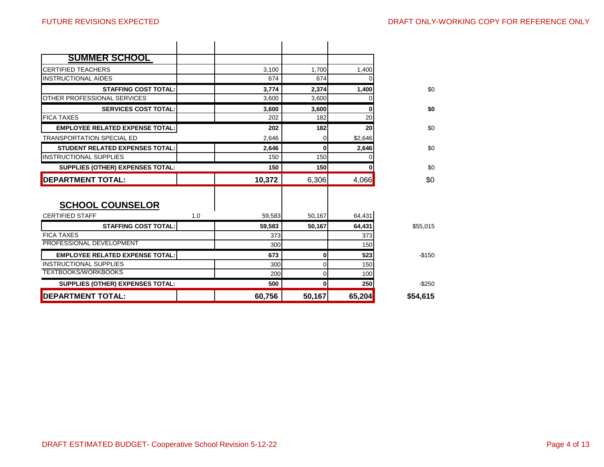| <b>DEPARTMENT TOTAL:</b>                          |                             | 60,756         | 50,167         | 65,204  | \$54,615  |
|---------------------------------------------------|-----------------------------|----------------|----------------|---------|-----------|
| <b>SUPPLIES (OTHER) EXPENSES TOTAL:</b>           |                             | 500            | 0              | 250     | $-$ \$250 |
| <b>TEXTBOOKS/WORKBOOKS</b>                        |                             | 200            | 0              | 100     |           |
| <b>INSTRUCTIONAL SUPPLIES</b>                     |                             | 300            | 0              | 150     |           |
| <b>EMPLOYEE RELATED EXPENSE TOTAL:</b>            |                             | 673            | 0              | 523     | $-$150$   |
| PROFESSIONAL DEVELOPMENT                          |                             | 300            |                | 150     |           |
| <b>FICA TAXES</b>                                 |                             | 373            |                | 373     |           |
|                                                   | <b>STAFFING COST TOTAL:</b> | 59.583         | 50.167         | 64,431  | \$55,015  |
| <b>SCHOOL COUNSELOR</b><br><b>CERTIFIED STAFF</b> | 1.0                         | 59,583         | 50,167         | 64,431  |           |
| <b>DEPARTMENT TOTAL:</b>                          |                             | 10,372         | 6,306          | 4,066   | \$0       |
| <b>SUPPLIES (OTHER) EXPENSES TOTAL:</b>           |                             | 150            | 150            |         | \$0       |
| <b>IINSTRUCTIONAL SUPPLIES</b>                    |                             | 150            | 150            |         |           |
| <b>STUDENT RELATED EXPENSES TOTAL:</b>            |                             | 2,646          | $\Omega$       | 2,646   | \$0       |
| <b>TRANSPORTATION SPECIAL ED</b>                  |                             | 2.646          | 0              | \$2,646 |           |
| <b>EMPLOYEE RELATED EXPENSE TOTAL:</b>            |                             | 202            | 182            | 20      | \$0       |
| <b>FICA TAXES</b>                                 |                             | 202            | 182            | 20      |           |
|                                                   | <b>SERVICES COST TOTAL:</b> | 3,600          | 3,600          | 0       | \$0       |
| OTHER PROFESSIONAL SERVICES                       | <b>STAFFING COST TOTAL:</b> | 3,774<br>3.600 | 2,374<br>3.600 | 1,400   | \$0       |
| <b>INSTRUCTIONAL AIDES</b>                        |                             | 674            | 674            |         |           |
| <b>CERTIFIED TEACHERS</b>                         |                             | 3,100          | 1,700          | 1,400   |           |
| <b>SUMMER SCHOOL</b>                              |                             |                |                |         |           |
|                                                   |                             |                |                |         |           |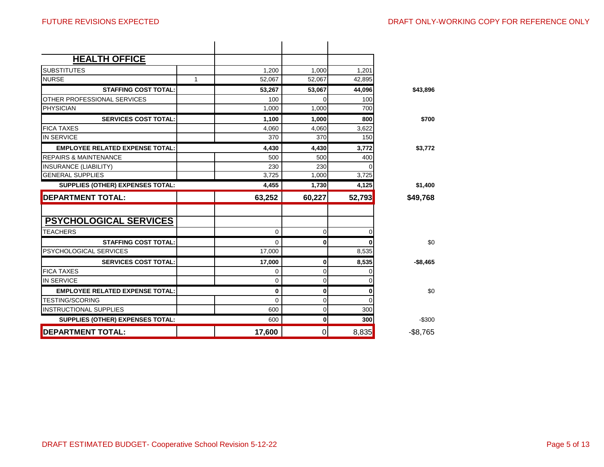| <b>HEALTH OFFICE</b>                                  |             |             |        |                  |
|-------------------------------------------------------|-------------|-------------|--------|------------------|
| <b>SUBSTITUTES</b>                                    | 1,200       | 1,000       | 1,201  |                  |
| <b>NURSE</b>                                          | 1<br>52,067 | 52,067      | 42,895 |                  |
| <b>STAFFING COST TOTAL:</b>                           | 53.267      | 53,067      | 44.096 | \$43,896         |
| OTHER PROFESSIONAL SERVICES                           | 100         |             | 100    |                  |
| <b>PHYSICIAN</b>                                      | 1.000       | 1,000       | 700    |                  |
| <b>SERVICES COST TOTAL:</b>                           | 1,100       | 1,000       | 800    | \$700            |
| <b>FICA TAXES</b>                                     | 4.060       | 4,060       | 3,622  |                  |
| <b>IN SERVICE</b>                                     | 370         | 370         | 150    |                  |
| <b>EMPLOYEE RELATED EXPENSE TOTAL:</b>                | 4,430       | 4,430       | 3.772  | \$3,772          |
| <b>REPAIRS &amp; MAINTENANCE</b>                      | 500         | 500         | 400    |                  |
| <b>INSURANCE (LIABILITY)</b>                          | 230         | 230         |        |                  |
| <b>GENERAL SUPPLIES</b>                               | 3.725       | 1,000       | 3,725  |                  |
| SUPPLIES (OTHER) EXPENSES TOTAL:                      | 4,455       | 1,730       | 4,125  | \$1,400          |
| <b>DEPARTMENT TOTAL:</b>                              | 63,252      | 60,227      | 52,793 | \$49,768         |
|                                                       |             |             |        |                  |
|                                                       |             |             |        |                  |
| <b>PSYCHOLOGICAL SERVICES</b>                         |             |             |        |                  |
| <b>TEACHERS</b>                                       | $\mathbf 0$ | 0           |        |                  |
| <b>STAFFING COST TOTAL:</b><br>PSYCHOLOGICAL SERVICES | 0<br>17,000 | $\mathbf 0$ | 8,535  |                  |
| <b>SERVICES COST TOTAL:</b>                           | 17,000      | $\mathbf 0$ | 8,535  |                  |
| <b>FICA TAXES</b>                                     | 0           | 0           |        | \$0<br>$-$8.465$ |
| <b>IN SERVICE</b>                                     | 0           | 0           |        |                  |
| <b>EMPLOYEE RELATED EXPENSE TOTAL:</b>                | 0           | $\bf{0}$    |        |                  |
| <b>TESTING/SCORING</b>                                | 0           | $\mathbf 0$ | U      |                  |
| <b>INSTRUCTIONAL SUPPLIES</b>                         | 600         | 0           | 300    | \$0              |
| SUPPLIES (OTHER) EXPENSES TOTAL:                      | 600         | $\mathbf 0$ | 300    | $-$ \$300        |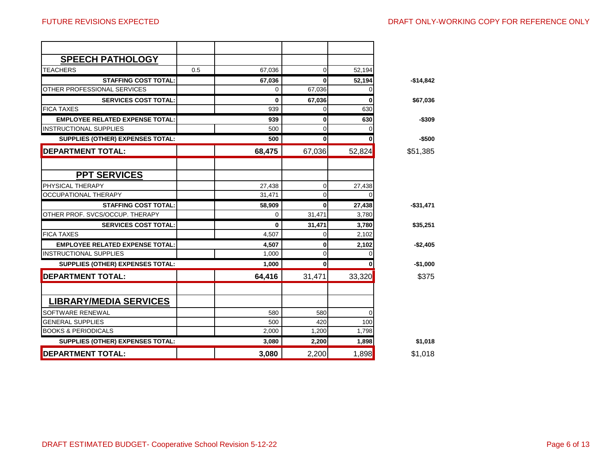| <b>SPEECH PATHOLOGY</b>                 |     |          |              |          |            |
|-----------------------------------------|-----|----------|--------------|----------|------------|
| <b>TEACHERS</b>                         | 0.5 | 67,036   | 0            | 52,194   |            |
| <b>STAFFING COST TOTAL:</b>             |     | 67,036   | 0            | 52,194   | $-$14,842$ |
| OTHER PROFESSIONAL SERVICES             |     | $\Omega$ | 67,036       | ∩        |            |
| <b>SERVICES COST TOTAL:</b>             |     | 0        | 67,036       |          | \$67,036   |
| <b>FICA TAXES</b>                       |     | 939      | 0            | 630      |            |
| <b>EMPLOYEE RELATED EXPENSE TOTAL:</b>  |     | 939      | $\mathbf 0$  | 630      | $-$309$    |
| <b>INSTRUCTIONAL SUPPLIES</b>           |     | 500      | $\mathbf 0$  |          |            |
| SUPPLIES (OTHER) EXPENSES TOTAL:        |     | 500      | $\mathbf{0}$ |          | $-$500$    |
| <b>DEPARTMENT TOTAL:</b>                |     | 68,475   | 67,036       | 52,824   | \$51,385   |
|                                         |     |          |              |          |            |
| <b>PPT SERVICES</b>                     |     |          |              |          |            |
| PHYSICAL THERAPY                        |     | 27,438   | 0            | 27,438   |            |
| OCCUPATIONAL THERAPY                    |     | 31,471   | 0            | $\Omega$ |            |
| <b>STAFFING COST TOTAL:</b>             |     | 58,909   | 0            | 27,438   | $-$31,471$ |
| OTHER PROF. SVCS/OCCUP. THERAPY         |     | $\Omega$ | 31,471       | 3.780    |            |
| <b>SERVICES COST TOTAL:</b>             |     | 0        | 31,471       | 3,780    | \$35,251   |
| <b>FICA TAXES</b>                       |     | 4,507    | 0            | 2,102    |            |
| <b>EMPLOYEE RELATED EXPENSE TOTAL:</b>  |     | 4,507    | 0            | 2,102    | $-$2,405$  |
| <b>IINSTRUCTIONAL SUPPLIES</b>          |     | 1,000    | $\mathbf 0$  |          |            |
| SUPPLIES (OTHER) EXPENSES TOTAL:        |     | 1,000    | $\mathbf{0}$ |          | $-$1,000$  |
| <b>DEPARTMENT TOTAL:</b>                |     | 64,416   | 31,471       | 33,320   | \$375      |
| <b>LIBRARY/MEDIA SERVICES</b>           |     |          |              |          |            |
| <b>SOFTWARE RENEWAL</b>                 |     | 580      | 580          |          |            |
| <b>GENERAL SUPPLIES</b>                 |     | 500      | 420          | 100      |            |
| <b>BOOKS &amp; PERIODICALS</b>          |     | 2.000    | 1.200        | 1.798    |            |
| <b>SUPPLIES (OTHER) EXPENSES TOTAL:</b> |     | 3,080    | 2,200        | 1,898    | \$1,018    |
| <b>DEPARTMENT TOTAL:</b>                |     | 3,080    | 2,200        | 1,898    | \$1,018    |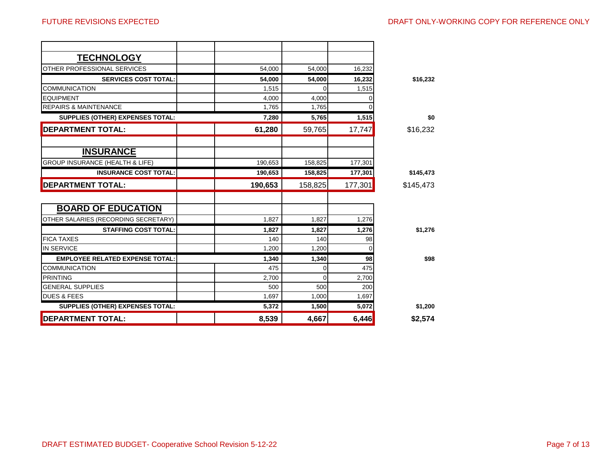| <b>TECHNOLOGY</b>                          |         |          |          |           |
|--------------------------------------------|---------|----------|----------|-----------|
| OTHER PROFESSIONAL SERVICES                | 54,000  | 54,000   | 16,232   |           |
| <b>SERVICES COST TOTAL:</b>                | 54,000  | 54,000   | 16,232   | \$16,232  |
| <b>COMMUNICATION</b>                       | 1,515   | $\Omega$ | 1,515    |           |
| <b>EQUIPMENT</b>                           | 4,000   | 4,000    |          |           |
| <b>REPAIRS &amp; MAINTENANCE</b>           | 1,765   | 1,765    |          |           |
| SUPPLIES (OTHER) EXPENSES TOTAL:           | 7,280   | 5,765    | 1,515    | \$0       |
| <b>DEPARTMENT TOTAL:</b>                   | 61,280  | 59,765   | 17,747   | \$16,232  |
|                                            |         |          |          |           |
| <b>INSURANCE</b>                           |         |          |          |           |
| <b>GROUP INSURANCE (HEALTH &amp; LIFE)</b> | 190,653 | 158,825  | 177,301  |           |
| <b>INSURANCE COST TOTAL:</b>               | 190,653 | 158,825  | 177,301  | \$145,473 |
| <b>DEPARTMENT TOTAL:</b>                   | 190,653 | 158,825  | 177,301  | \$145,473 |
| <b>BOARD OF EDUCATION</b>                  |         |          |          |           |
| OTHER SALARIES (RECORDING SECRETARY)       | 1,827   | 1,827    | 1,276    |           |
| <b>STAFFING COST TOTAL:</b>                | 1.827   | 1,827    | 1,276    | \$1,276   |
| <b>FICA TAXES</b>                          | 140     | 140      | 98       |           |
| <b>IN SERVICE</b>                          | 1,200   | 1,200    | $\Omega$ |           |
| <b>EMPLOYEE RELATED EXPENSE TOTAL:</b>     | 1,340   | 1,340    | 98       | \$98      |
| <b>COMMUNICATION</b>                       | 475     | 0        | 475      |           |
| <b>PRINTING</b>                            | 2.700   | $\Omega$ | 2,700    |           |
| <b>GENERAL SUPPLIES</b>                    | 500     | 500      | 200      |           |
| <b>DUES &amp; FEES</b>                     | 1.697   | 1.000    | 1,697    |           |
| SUPPLIES (OTHER) EXPENSES TOTAL:           | 5,372   | 1,500    | 5,072    | \$1,200   |
| <b>DEPARTMENT TOTAL:</b>                   | 8,539   | 4,667    | 6,446    | \$2,574   |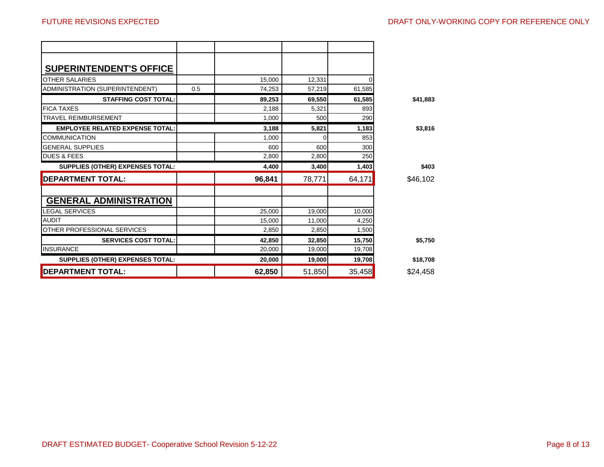| <b>SUPERINTENDENT'S OFFICE</b>         |        |        |        |          |
|----------------------------------------|--------|--------|--------|----------|
| <b>OTHER SALARIES</b>                  | 15,000 | 12,331 |        |          |
| ADMINISTRATION (SUPERINTENDENT)<br>0.5 | 74,253 | 57,219 | 61,585 |          |
| <b>STAFFING COST TOTAL:</b>            | 89,253 | 69,550 | 61,585 | \$41,883 |
| <b>FICA TAXES</b>                      | 2,188  | 5,321  | 893    |          |
| <b>TRAVEL REIMBURSEMENT</b>            | 1,000  | 500    | 290    |          |
| <b>EMPLOYEE RELATED EXPENSE TOTAL:</b> | 3,188  | 5,821  | 1,183  | \$3,816  |
| <b>COMMUNICATION</b>                   | 1.000  | ი      | 853    |          |
| <b>GENERAL SUPPLIES</b>                | 600    | 600    | 300    |          |
| <b>DUES &amp; FEES</b>                 | 2,800  | 2,800  | 250    |          |
| SUPPLIES (OTHER) EXPENSES TOTAL:       | 4,400  | 3,400  | 1,403  | \$403    |
| <b>DEPARTMENT TOTAL:</b>               | 96,841 | 78,771 | 64,171 | \$46,102 |
| <b>GENERAL ADMINISTRATION</b>          |        |        |        |          |
| <b>LEGAL SERVICES</b>                  | 25,000 | 19,000 | 10,000 |          |
| <b>AUDIT</b>                           | 15,000 | 11,000 | 4,250  |          |
| OTHER PROFESSIONAL SERVICES            | 2.850  | 2,850  | 1.500  |          |
|                                        |        |        |        |          |
| <b>SERVICES COST TOTAL:</b>            | 42,850 | 32,850 | 15,750 | \$5,750  |
| <b>INSURANCE</b>                       | 20,000 | 19,000 | 19,708 |          |
| SUPPLIES (OTHER) EXPENSES TOTAL:       | 20,000 | 19,000 | 19,708 | \$18,708 |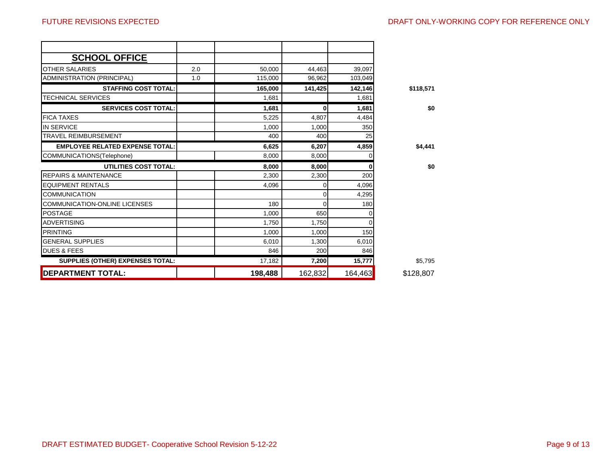| <b>SCHOOL OFFICE</b>                   |     |         |          |         |           |
|----------------------------------------|-----|---------|----------|---------|-----------|
| <b>OTHER SALARIES</b>                  | 2.0 | 50,000  | 44,463   | 39,097  |           |
| ADMINISTRATION (PRINCIPAL)             | 1.0 | 115,000 | 96,962   | 103,049 |           |
| <b>STAFFING COST TOTAL:</b>            |     | 165,000 | 141,425  | 142,146 | \$118,571 |
| <b>TECHNICAL SERVICES</b>              |     | 1,681   |          | 1,681   |           |
| <b>SERVICES COST TOTAL:</b>            |     | 1,681   | $\bf{0}$ | 1,681   | \$0       |
| <b>FICA TAXES</b>                      |     | 5,225   | 4,807    | 4,484   |           |
| <b>IN SERVICE</b>                      |     | 1,000   | 1,000    | 350     |           |
| <b>TRAVEL REIMBURSEMENT</b>            |     | 400     | 400      | 25      |           |
| <b>EMPLOYEE RELATED EXPENSE TOTAL:</b> |     | 6,625   | 6,207    | 4,859   | \$4,441   |
| COMMUNICATIONS(Telephone)              |     | 8,000   | 8,000    |         |           |
| UTILITIES COST TOTAL:                  |     | 8.000   | 8,000    |         | \$0       |
| <b>REPAIRS &amp; MAINTENANCE</b>       |     | 2,300   | 2,300    | 200     |           |
|                                        |     |         |          |         |           |
| <b>EQUIPMENT RENTALS</b>               |     | 4,096   | Ω        | 4,096   |           |
| <b>COMMUNICATION</b>                   |     |         | 0        | 4,295   |           |
| <b>COMMUNICATION-ONLINE LICENSES</b>   |     | 180     | $\Omega$ | 180     |           |
| <b>POSTAGE</b>                         |     | 1,000   | 650      |         |           |
| <b>ADVERTISING</b>                     |     | 1,750   | 1,750    |         |           |
| <b>PRINTING</b>                        |     | 1,000   | 1,000    | 150     |           |
| <b>GENERAL SUPPLIES</b>                |     | 6,010   | 1,300    | 6,010   |           |
| <b>DUES &amp; FEES</b>                 |     | 846     | 200      | 846     |           |
| SUPPLIES (OTHER) EXPENSES TOTAL:       |     | 17,182  | 7,200    | 15,777  | \$5,795   |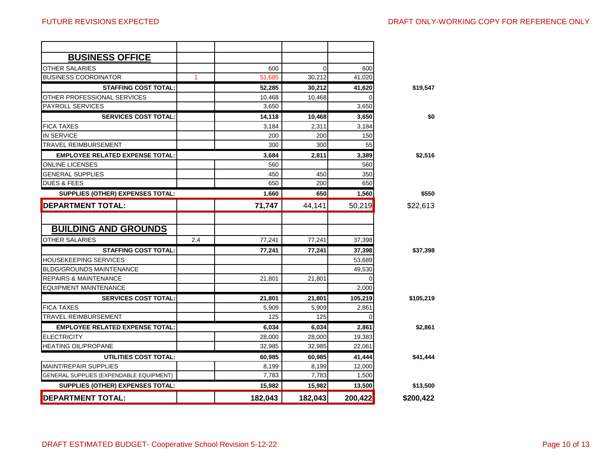| <b>BUSINESS OFFICE</b>                  |              |         |          |         |           |
|-----------------------------------------|--------------|---------|----------|---------|-----------|
| <b>OTHER SALARIES</b>                   |              | 600     | $\Omega$ | 600     |           |
| <b>BUSINESS COORDINATOR</b>             | $\mathbf{1}$ | 51,685  | 30,212   | 41,020  |           |
| <b>STAFFING COST TOTAL:</b>             |              | 52,285  | 30,212   | 41,620  | \$19,547  |
| OTHER PROFESSIONAL SERVICES             |              | 10,468  | 10,468   |         |           |
| <b>PAYROLL SERVICES</b>                 |              | 3.650   |          | 3,650   |           |
| <b>SERVICES COST TOTAL:</b>             |              | 14,118  | 10,468   | 3,650   | \$0       |
| <b>FICA TAXES</b>                       |              | 3,184   | 2,311    | 3,184   |           |
| <b>IN SERVICE</b>                       |              | 200     | 200      | 150     |           |
| <b>TRAVEL REIMBURSEMENT</b>             |              | 300     | 300      | 55      |           |
| <b>EMPLOYEE RELATED EXPENSE TOTAL:</b>  |              | 3,684   | 2.811    | 3,389   | \$2,516   |
| <b>ONLINE LICENSES</b>                  |              | 560     |          | 560     |           |
| <b>GENERAL SUPPLIES</b>                 |              | 450     | 450      | 350     |           |
| <b>DUES &amp; FEES</b>                  |              | 650     | 200      | 650     |           |
| SUPPLIES (OTHER) EXPENSES TOTAL:        |              | 1,660   | 650      | 1,560   | \$550     |
| <b>DEPARTMENT TOTAL:</b>                |              | 71,747  | 44,141   | 50,219  | \$22,613  |
|                                         |              |         |          |         |           |
| <b>BUILDING AND GROUNDS</b>             |              |         |          |         |           |
| <b>OTHER SALARIES</b>                   | 2.4          | 77.241  | 77.241   | 37,398  |           |
| <b>STAFFING COST TOTAL:</b>             |              | 77,241  | 77,241   | 37,398  | \$37,398  |
| <b>HOUSEKEEPING SERVICES</b>            |              |         |          | 53,689  |           |
| <b>BLDG/GROUNDS MAINTENANCE</b>         |              |         |          | 49,530  |           |
| <b>REPAIRS &amp; MAINTENANCE</b>        |              | 21,801  | 21,801   |         |           |
| <b>EQUIPMENT MAINTENANCE</b>            |              |         |          | 2,000   |           |
| <b>SERVICES COST TOTAL:</b>             |              | 21,801  | 21.801   | 105.219 | \$105,219 |
| <b>FICA TAXES</b>                       |              | 5,909   | 5,909    | 2,861   |           |
| <b>TRAVEL REIMBURSEMENT</b>             |              | 125     | 125      | ∩       |           |
| <b>EMPLOYEE RELATED EXPENSE TOTAL:</b>  |              | 6,034   | 6,034    | 2,861   | \$2,861   |
| <b>ELECTRICITY</b>                      |              | 28,000  | 28,000   | 19,383  |           |
| <b>HEATING OIL/PROPANE</b>              |              | 32.985  | 32,985   | 22,061  |           |
| UTILITIES COST TOTAL:                   |              | 60,985  | 60,985   | 41,444  | \$41,444  |
| <b>MAINT/REPAIR SUPPLIES</b>            |              | 8,199   | 8,199    | 12,000  |           |
| GENERAL SUPPLIES (EXPENDABLE EQUIPMENT) |              | 7,783   | 7,783    | 1,500   |           |
| <b>SUPPLIES (OTHER) EXPENSES TOTAL:</b> |              | 15,982  | 15,982   | 13,500  | \$13,500  |
| <b>DEPARTMENT TOTAL:</b>                |              | 182,043 | 182,043  | 200,422 | \$200,422 |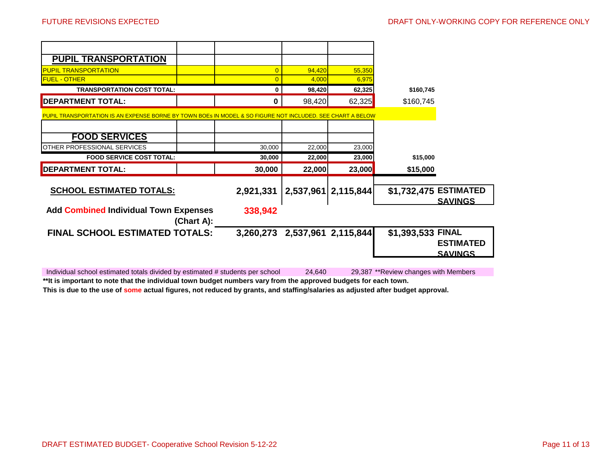| <b>PUPIL TRANSPORTATION</b>                                                                                |            |                |                     |        |                       |                |
|------------------------------------------------------------------------------------------------------------|------------|----------------|---------------------|--------|-----------------------|----------------|
| <b>PUPIL TRANSPORTATION</b>                                                                                |            | $\overline{0}$ | 94,420              | 55,350 |                       |                |
| <b>FUEL - OTHER</b>                                                                                        |            |                | 4,000               | 6,975  |                       |                |
| <b>TRANSPORTATION COST TOTAL:</b>                                                                          |            | 0              | 98,420              | 62,325 | \$160,745             |                |
| <b>DEPARTMENT TOTAL:</b>                                                                                   |            | 0              | 98,420              | 62,325 | \$160,745             |                |
| PUPIL TRANSPORTATION IS AN EXPENSE BORNE BY TOWN BOES IN MODEL & SO FIGURE NOT INCLUDED. SEE CHART A BELOW |            |                |                     |        |                       |                |
|                                                                                                            |            |                |                     |        |                       |                |
| <b>FOOD SERVICES</b>                                                                                       |            |                |                     |        |                       |                |
| OTHER PROFESSIONAL SERVICES                                                                                |            | 30,000         | 22,000              | 23,000 |                       |                |
|                                                                                                            |            |                |                     |        |                       |                |
| <b>FOOD SERVICE COST TOTAL:</b>                                                                            |            | 30,000         | 22,000              | 23,000 | \$15,000              |                |
| <b>DEPARTMENT TOTAL:</b>                                                                                   |            | 30,000         | 22,000              | 23,000 | \$15,000              |                |
| <b>SCHOOL ESTIMATED TOTALS:</b>                                                                            |            | 2,921,331      | 2,537,961 2,115,844 |        | \$1,732,475 ESTIMATED | <b>SAVINGS</b> |
| <b>Add Combined Individual Town Expenses</b>                                                               | (Chart A): | 338,942        |                     |        |                       |                |

Individual school estimated totals divided by estimated # students per school 24,640 29,387 \*\*Review changes with Members **\*\*It is important to note that the individual town budget numbers vary from the approved budgets for each town.**

**This is due to the use of some actual figures, not reduced by grants, and staffing/salaries as adjusted after budget approval.**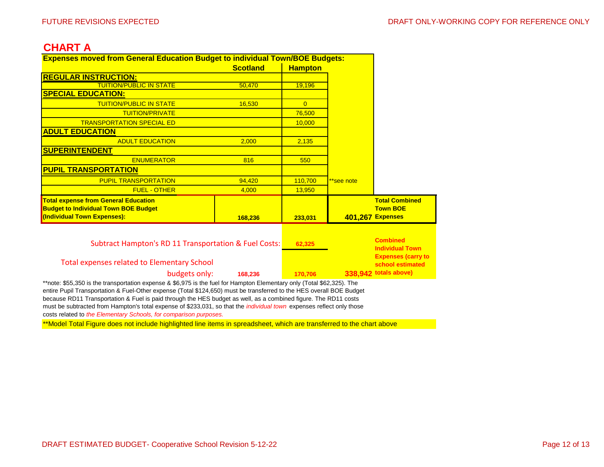## **CHART A**

|                                                       | <b>Expenses moved from General Education Budget to individual Town/BOE Budgets:</b> |                |            |                           |
|-------------------------------------------------------|-------------------------------------------------------------------------------------|----------------|------------|---------------------------|
|                                                       | <b>Scotland</b>                                                                     | <b>Hampton</b> |            |                           |
| <b>REGULAR INSTRUCTION:</b>                           |                                                                                     |                |            |                           |
| <b>TUITION/PUBLIC IN STATE</b>                        | 50,470                                                                              | 19,196         |            |                           |
| <b>SPECIAL EDUCATION:</b>                             |                                                                                     |                |            |                           |
| <b>TUITION/PUBLIC IN STATE</b>                        | 16,530                                                                              | $\overline{0}$ |            |                           |
| <b>TUITION/PRIVATE</b>                                |                                                                                     | 76,500         |            |                           |
| <b>TRANSPORTATION SPECIAL ED</b>                      |                                                                                     | 10,000         |            |                           |
| <b>ADULT EDUCATION</b>                                |                                                                                     |                |            |                           |
| <b>ADULT EDUCATION</b>                                | 2.000                                                                               | 2,135          |            |                           |
| <b>SUPERINTENDENT</b>                                 |                                                                                     |                |            |                           |
| <b>ENUMERATOR</b>                                     | 816                                                                                 | 550            |            |                           |
| <b>PUPIL TRANSPORTATION</b>                           |                                                                                     |                |            |                           |
| <b>PUPIL TRANSPORTATION</b>                           | 94,420                                                                              | 110,700        | **see note |                           |
| <b>FUEL - OTHER</b>                                   | 4,000                                                                               | 13,950         |            |                           |
| <b>Total expense from General Education</b>           |                                                                                     |                |            | <b>Total Combined</b>     |
| <b>Budget to Individual Town BOE Budget</b>           |                                                                                     |                |            | <b>Town BOE</b>           |
| (Individual Town Expenses):                           | 168,236                                                                             | 233,031        |            | <b>401,267 Expenses</b>   |
|                                                       |                                                                                     |                |            |                           |
| Subtract Hampton's RD 11 Transportation & Fuel Costs: |                                                                                     | 62,325         |            | <b>Combined</b>           |
|                                                       |                                                                                     |                |            | <b>Individual Town</b>    |
|                                                       |                                                                                     |                |            | <b>Expenses (carry to</b> |
| <b>Total expenses related to Elementary School</b>    |                                                                                     |                |            | school estimated          |
| budgets only:                                         |                                                                                     |                |            | 338,942 totals above)     |

entire Pupil Transportation & Fuel-Other expense (Total \$124,650) must be transferred to the HES overall BOE Budget because RD11 Transportation & Fuel is paid through the HES budget as well, as a combined figure. The RD11 costs must be subtracted from Hampton's total expense of \$233,031, so that the *individual town* expenses reflect only those costs related to *the Elementary Schools, for comparison purposes.*

\*\*Model Total Figure does not include highlighted line items in spreadsheet, which are transferred to the chart above